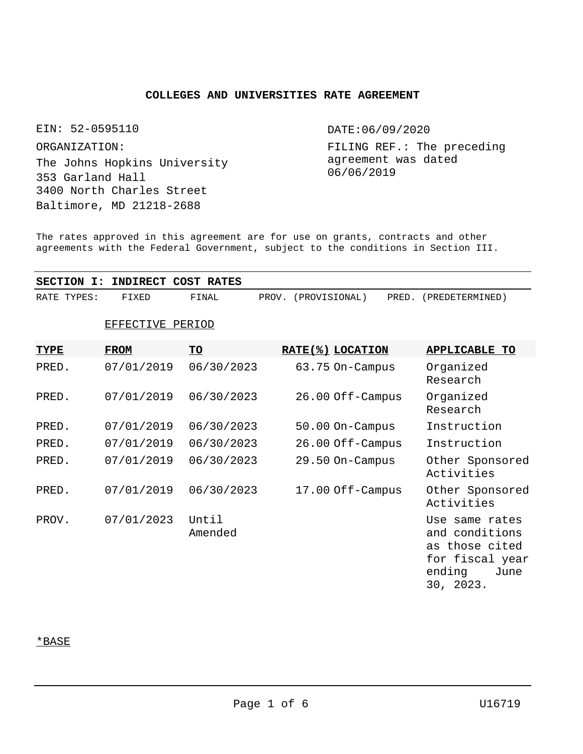# **COLLEGES AND UNIVERSITIES RATE AGREEMENT**

EIN: 52-0595110

ORGANIZATION:

The Johns Hopkins University 353 Garland Hall 3400 North Charles Street Baltimore, MD 21218-2688

DATE:06/09/2020

FILING REF.: The preceding agreement was dated 06/06/2019

The rates approved in this agreement are for use on grants, contracts and other agreements with the Federal Government, subject to the conditions in Section III.

**SECTION I: INDIRECT COST RATES**

| RATE TYPES: | FIXED | 『INAL | PROV. | (PROVISIONAL) | PRED. | (PREDETERMINED) |  |
|-------------|-------|-------|-------|---------------|-------|-----------------|--|
|             |       |       |       |               |       |                 |  |

| 4:R I ( ,<br>40 TH<br>v<br> |
|-----------------------------|
|-----------------------------|

| <u>TYPE</u> | <u>FROM</u> | <u>TO</u>        | RATE(%) LOCATION | <b>APPLICABLE TO</b>                                                                                 |
|-------------|-------------|------------------|------------------|------------------------------------------------------------------------------------------------------|
| PRED.       | 07/01/2019  | 06/30/2023       | 63.75 On-Campus  | Organized<br>Research                                                                                |
| PRED.       | 07/01/2019  | 06/30/2023       | 26.00 Off-Campus | Organized<br>Research                                                                                |
| PRED.       | 07/01/2019  | 06/30/2023       | 50.00 On-Campus  | Instruction                                                                                          |
| PRED.       | 07/01/2019  | 06/30/2023       | 26.00 Off-Campus | Instruction                                                                                          |
| PRED.       | 07/01/2019  | 06/30/2023       | 29.50 On-Campus  | Other Sponsored<br>Activities                                                                        |
| PRED.       | 07/01/2019  | 06/30/2023       | 17.00 Off-Campus | Other Sponsored<br>Activities                                                                        |
| PROV.       | 07/01/2023  | Until<br>Amended |                  | Use same rates<br>and conditions<br>as those cited<br>for fiscal year<br>ending<br>June<br>30, 2023. |

# \*BASE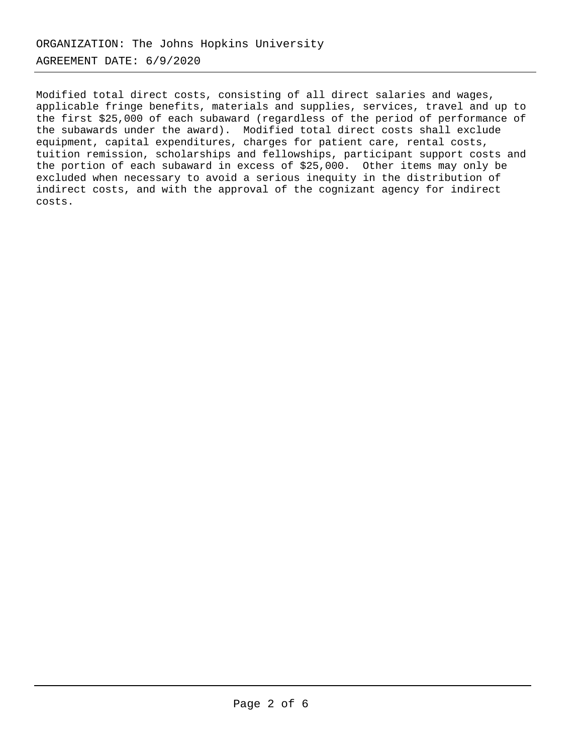Modified total direct costs, consisting of all direct salaries and wages, applicable fringe benefits, materials and supplies, services, travel and up to the first \$25,000 of each subaward (regardless of the period of performance of the subawards under the award). Modified total direct costs shall exclude equipment, capital expenditures, charges for patient care, rental costs, tuition remission, scholarships and fellowships, participant support costs and the portion of each subaward in excess of \$25,000. Other items may only be excluded when necessary to avoid a serious inequity in the distribution of indirect costs, and with the approval of the cognizant agency for indirect costs.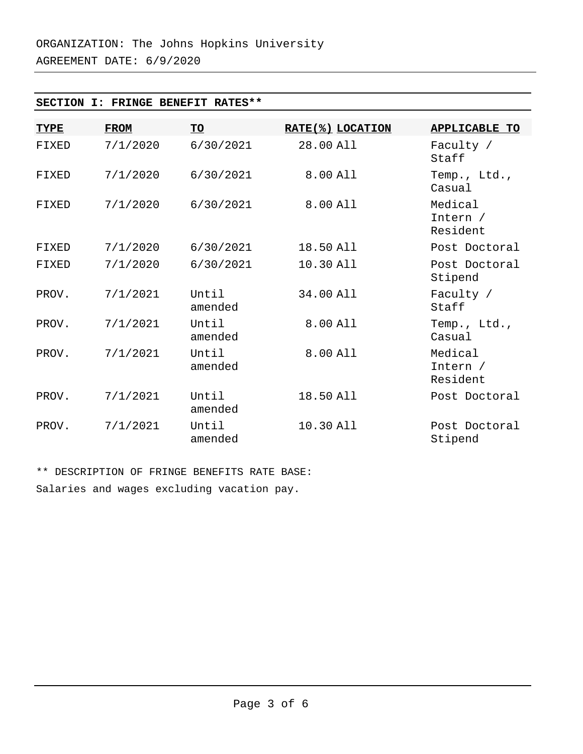# **SECTION I: FRINGE BENEFIT RATES\*\***

| <b>TYPE</b> | <b>FROM</b> | <u>TO</u>        | RATE(%) LOCATION | <b>APPLICABLE TO</b>            |
|-------------|-------------|------------------|------------------|---------------------------------|
| FIXED       | 7/1/2020    | 6/30/2021        | 28.00 All        | Faculty /<br>Staff              |
| FIXED       | 7/1/2020    | 6/30/2021        | 8.00 All         | Temp., Ltd.,<br>Casual          |
| FIXED       | 7/1/2020    | 6/30/2021        | 8.00 All         | Medical<br>Intern /<br>Resident |
| FIXED       | 7/1/2020    | 6/30/2021        | 18.50 All        | Post Doctoral                   |
| FIXED       | 7/1/2020    | 6/30/2021        | 10.30 All        | Post Doctoral<br>Stipend        |
| PROV.       | 7/1/2021    | Until<br>amended | 34.00 All        | Faculty /<br>Staff              |
| PROV.       | 7/1/2021    | Until<br>amended | 8.00 All         | Temp., Ltd.,<br>Casual          |
| PROV.       | 7/1/2021    | Until<br>amended | 8.00 All         | Medical<br>Intern /<br>Resident |
| PROV.       | 7/1/2021    | Until<br>amended | 18.50 All        | Post Doctoral                   |
| PROV.       | 7/1/2021    | Until<br>amended | 10.30 All        | Post Doctoral<br>Stipend        |

\*\* DESCRIPTION OF FRINGE BENEFITS RATE BASE: Salaries and wages excluding vacation pay.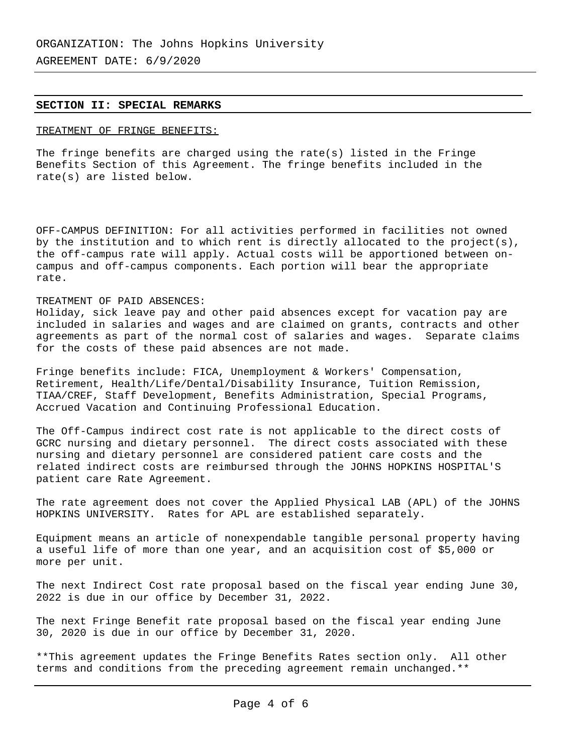## **SECTION II: SPECIAL REMARKS**

## TREATMENT OF FRINGE BENEFITS:

The fringe benefits are charged using the rate(s) listed in the Fringe Benefits Section of this Agreement. The fringe benefits included in the rate(s) are listed below.

OFF-CAMPUS DEFINITION: For all activities performed in facilities not owned by the institution and to which rent is directly allocated to the project(s), the off-campus rate will apply. Actual costs will be apportioned between oncampus and off-campus components. Each portion will bear the appropriate rate.

## TREATMENT OF PAID ABSENCES:

Holiday, sick leave pay and other paid absences except for vacation pay are included in salaries and wages and are claimed on grants, contracts and other agreements as part of the normal cost of salaries and wages. Separate claims for the costs of these paid absences are not made.

Fringe benefits include: FICA, Unemployment & Workers' Compensation, Retirement, Health/Life/Dental/Disability Insurance, Tuition Remission, TIAA/CREF, Staff Development, Benefits Administration, Special Programs, Accrued Vacation and Continuing Professional Education.

The Off-Campus indirect cost rate is not applicable to the direct costs of GCRC nursing and dietary personnel. The direct costs associated with these nursing and dietary personnel are considered patient care costs and the related indirect costs are reimbursed through the JOHNS HOPKINS HOSPITAL'S patient care Rate Agreement.

The rate agreement does not cover the Applied Physical LAB (APL) of the JOHNS HOPKINS UNIVERSITY. Rates for APL are established separately.

Equipment means an article of nonexpendable tangible personal property having a useful life of more than one year, and an acquisition cost of \$5,000 or more per unit.

The next Indirect Cost rate proposal based on the fiscal year ending June 30, 2022 is due in our office by December 31, 2022.

The next Fringe Benefit rate proposal based on the fiscal year ending June 30, 2020 is due in our office by December 31, 2020.

\*\*This agreement updates the Fringe Benefits Rates section only. All other terms and conditions from the preceding agreement remain unchanged.\*\*